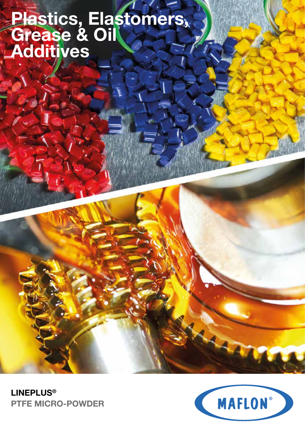# **Plastics, Elastomers, Grease & Oil Additives**



**LINEPLUS® PTFE MICRO-POWDER**